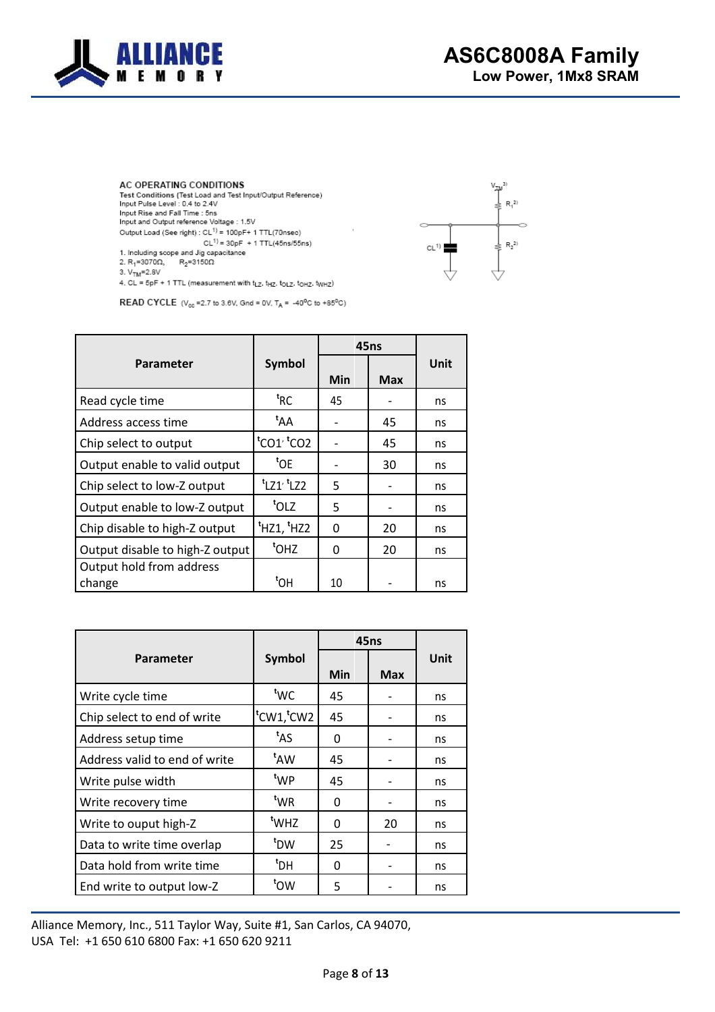

 $V_{TM}^{3}$ 

 $\epsilon$ 

 $CL^{1)}$ 

 $R_1^{2}$ 

 $\frac{1}{2}$  R<sub>2</sub><sup>2)</sup>

ó

AC OPERATING CONDITIONS Test Conditions (Test Load and Test Input/Output Reference) Input Pulse Level : 0.4 to 2.4V<br>Input Pulse Level : 0.4 to 2.4V Input and Output reference Voltage : 1.5V Output Load (See right) :  $CL^{1)} = 100pF + 1$  TTL(70nsec)  $CL^{1}$  = 30pF + 1 TTL(45ns/55ns) 1. Including scope and Jig capacitance<br>2.  $R_1$ =3070 $\Omega$ ,  $R_2$ =3150 $\Omega$ 



4. CL = 5pF + 1 TTL (measurement with tLz. tHz. toLz. toHz. twHz)

**READ CYCLE** ( $V_{cc}$ =2.7 to 3.6V, Gnd = 0V,  $T_A$  = -40<sup>o</sup>C to +85<sup>o</sup>C)

|                                 |                                    | 45ns     |            |      |
|---------------------------------|------------------------------------|----------|------------|------|
| <b>Parameter</b>                | Symbol                             | Min      | <b>Max</b> | Unit |
| Read cycle time                 | <sup>t</sup> RC                    | 45       |            | ns   |
| Address access time             | <sup>t</sup> AA                    |          | 45         | ns   |
| Chip select to output           | tco1 <sup>, t</sup> co2            |          | 45         | ns   |
| Output enable to valid output   | <sup>t</sup> OE                    |          | 30         | ns   |
| Chip select to low-Z output     | $t$ LZ1 <sup>, t</sup> LZ2         | 5        |            | ns   |
| Output enable to low-Z output   | <sup>t</sup> OLZ                   | 5        |            | ns   |
| Chip disable to high-Z output   | <sup>t</sup> HZ1, <sup>t</sup> HZ2 | $\Omega$ | 20         | ns   |
| Output disable to high-Z output | <sup>t</sup> OHZ                   | 0        | 20         | ns   |
| Output hold from address        | <sup>t</sup> OH                    |          |            |      |
| change                          |                                    | 10       |            | ns   |

|                               |                  | <b>45ns</b> |            |      |
|-------------------------------|------------------|-------------|------------|------|
| Parameter                     | <b>Symbol</b>    | Min         | <b>Max</b> | Unit |
| Write cycle time              | <sup>t</sup> WC  | 45          |            | ns   |
| Chip select to end of write   | tcw1,tcw2        | 45          |            | ns   |
| Address setup time            | <sup>t</sup> AS  | 0           |            | ns   |
| Address valid to end of write | t <sub>AW</sub>  | 45          |            | ns   |
| Write pulse width             | <sup>t</sup> WP  | 45          |            | ns   |
| Write recovery time           | <sup>t</sup> WR  | 0           |            | ns   |
| Write to ouput high-Z         | <sup>t</sup> WHZ | 0           | 20         | ns   |
| Data to write time overlap    | <sup>t</sup> DW  | 25          |            | ns   |
| Data hold from write time     | <sup>t</sup> DH  | 0           |            | ns   |
| End write to output low-Z     | <sup>t</sup> OW  | 5           |            | ns   |

Alliance Memory, Inc., 511 Taylor Way, San Carlos, CA 94070, USA Tel: +1 650 610 6800 Fax: +1 650 620 9211

March 2017 v.2.0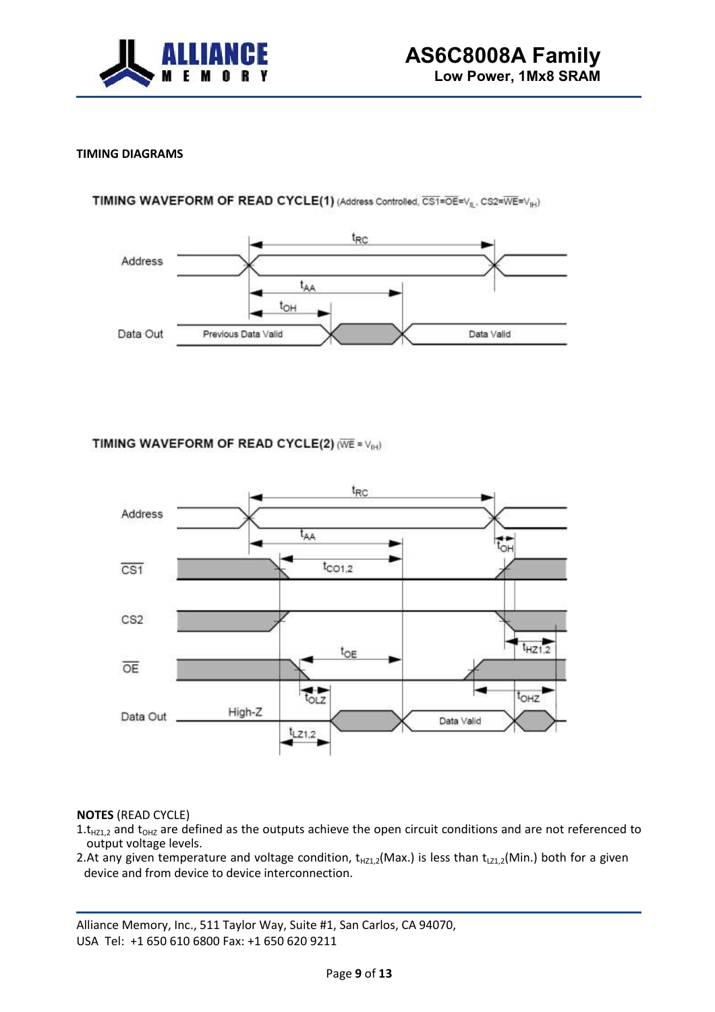

# **TIMING DIAGRAMS**

### TIMING WAVEFORM OF READ CYCLE(1) (Address Controlled, CS1=OE=V<sub>II</sub>, CS2=WE=V<sub>IH</sub>)



# TIMING WAVEFORM OF READ CYCLE(2) (WE = VIH)



#### **NOTES** (READ CYCLE)

- $1.t_{HZ1,2}$  and  $t_{OHZ}$  are defined as the outputs achieve the open circuit conditions and are not referenced to output voltage levels.
- 2.At any given temperature and voltage condition,  $t_{HZ1,2}(Max.)$  is less than  $t_{LZ1,2}(Min.)$  both for a given device and from device to device interconnection.

Alliance Memory, Inc., 511 Taylor Way, San Carlos, CA 94070, USA Tel: +1 650 610 6800 Fax: +1 650 620 9211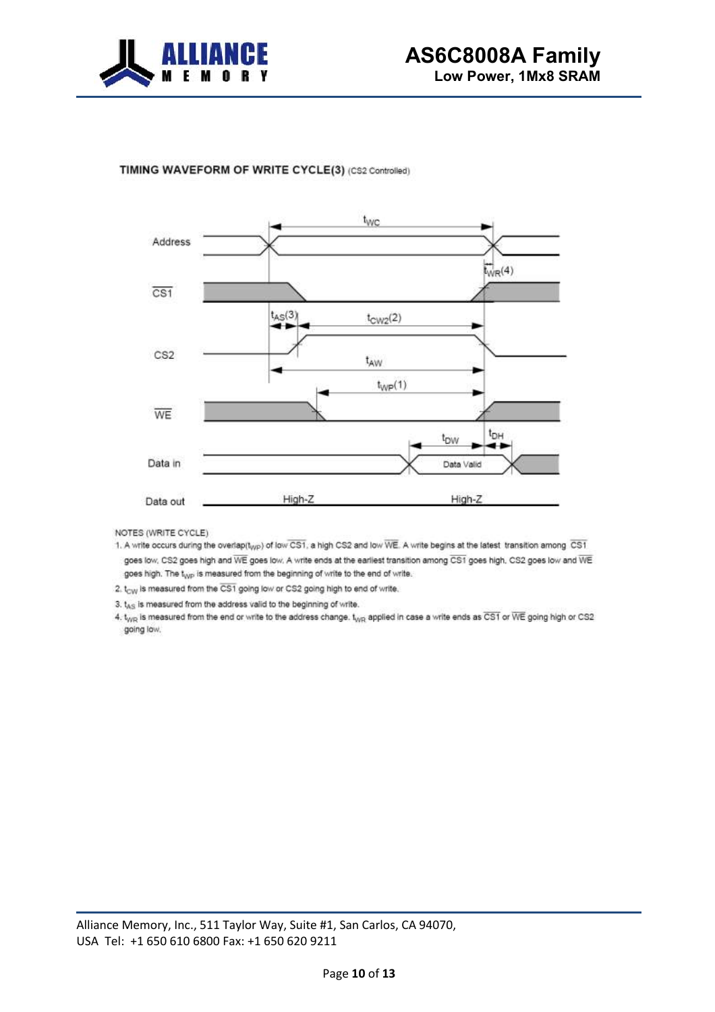

#### TIMING WAVEFORM OF WRITE CYCLE(3) (CS2 Controlled)



NOTES (WRITE CYCLE)

- 1. A write occurs during the overlap(t<sub>WP</sub>) of low CS1, a high CS2 and low WE. A write begins at the latest transition among CS1 goes low, CS2 goes high and WE goes low. A write ends at the earliest transition among CS1 goes high, CS2 goes low and WE goes high. The t<sub>wp</sub> is measured from the beginning of write to the end of write.
- 2. t<sub>CW</sub> is measured from the CS1 going low or CS2 going high to end of write.
- 3.  $t_{AS}$  is measured from the address valid to the beginning of write.

4. t<sub>///R</sub> is measured from the end or write to the address change. t<sub>///R</sub> applied in case a write ends as CS1 or WE going high or CS2 going low.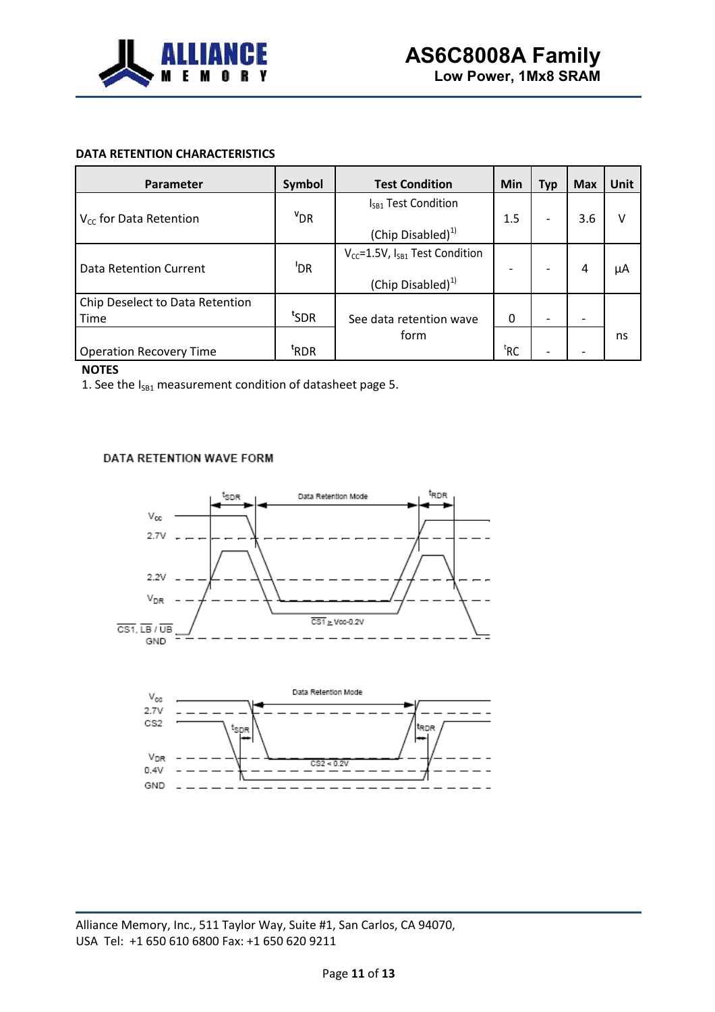

# **DATA RETENTION CHARACTERISTICS**

| Parameter                               | Symbol           | <b>Test Condition</b>                                                     | Min                      | <b>Typ</b>               | <b>Max</b> | <b>Unit</b> |
|-----------------------------------------|------------------|---------------------------------------------------------------------------|--------------------------|--------------------------|------------|-------------|
| $V_{cc}$ for Data Retention             | $v_{DR}$         | I <sub>SB1</sub> Test Condition<br>(Chip Disabled) <sup>1)</sup>          | 1.5                      | $\overline{\phantom{0}}$ | 3.6        | v           |
| Data Retention Current                  | 'DR              | $V_{cc}$ =1.5V, $I_{SB1}$ Test Condition<br>(Chip Disabled) <sup>1)</sup> | $\overline{\phantom{0}}$ |                          | 4          | μA          |
| Chip Deselect to Data Retention<br>Time | t <sub>SDR</sub> | See data retention wave                                                   | 0                        | $\overline{\phantom{a}}$ |            |             |
| <b>Operation Recovery Time</b>          | <sup>t</sup> RDR | form                                                                      | ${}^{\text{t}}$ RC       |                          |            | ns          |

### **NOTES**

1. See the  $I_{SB1}$  measurement condition of datasheet page 5.

### DATA RETENTION WAVE FORM



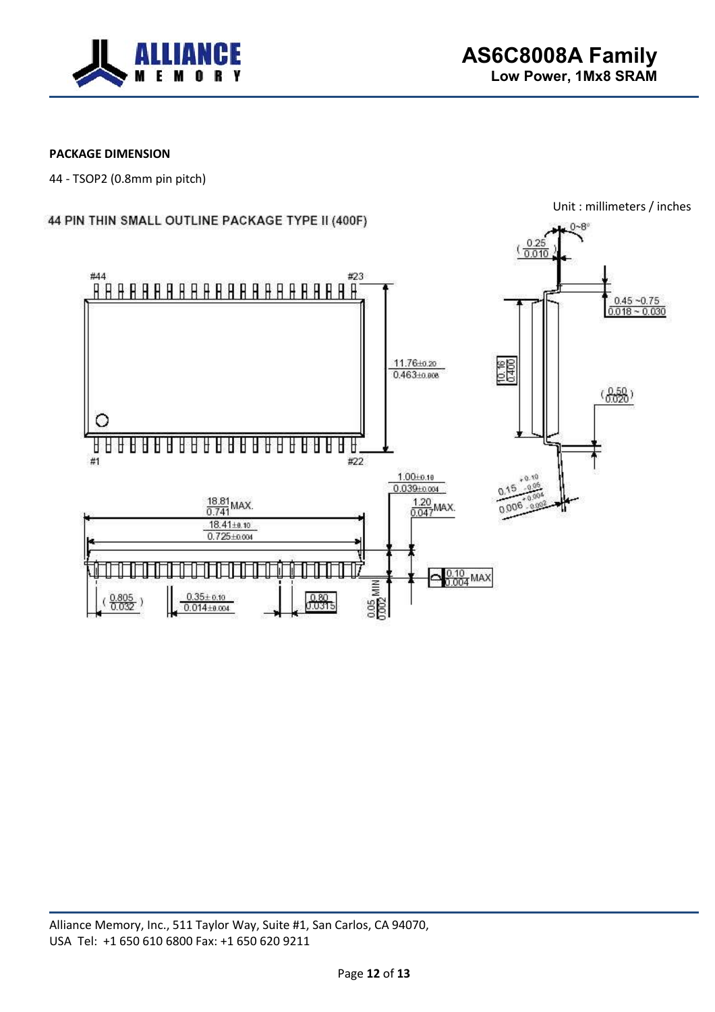

# **PACKAGE DIMENSION**

44 - TSOP2 (0.8mm pin pitch)